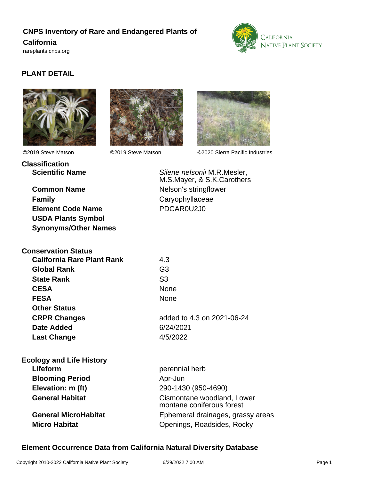# **CNPS Inventory of Rare and Endangered Plants of California** <rareplants.cnps.org>



## **PLANT DETAIL**





©2019 Steve Matson ©2019 Steve Matson ©2020 Sierra Pacific Industries

**Classification**

**Family** Caryophyllaceae **Element Code Name** PDCAR0U2J0 **USDA Plants Symbol Synonyms/Other Names**

**Scientific Name** Silene nelsonii M.R.Mesler, M.S.Mayer, & S.K.Carothers **Common Name** Nelson's stringflower

| <b>Conservation Status</b>        |                            |
|-----------------------------------|----------------------------|
| <b>California Rare Plant Rank</b> | 4.3                        |
| <b>Global Rank</b>                | G3                         |
| <b>State Rank</b>                 | S3                         |
| <b>CESA</b>                       | <b>None</b>                |
| <b>FESA</b>                       | <b>None</b>                |
| <b>Other Status</b>               |                            |
| <b>CRPR Changes</b>               | added to 4.3 on 2021-06-24 |
| Date Added                        | 6/24/2021                  |
| <b>Last Change</b>                | 4/5/2022                   |
|                                   |                            |

| perennial herb                                          |
|---------------------------------------------------------|
| Apr-Jun                                                 |
| 290-1430 (950-4690)                                     |
| Cismontane woodland, Lower<br>montane coniferous forest |
| Ephemeral drainages, grassy areas                       |
| Openings, Roadsides, Rocky                              |
|                                                         |

## **Element Occurrence Data from California Natural Diversity Database**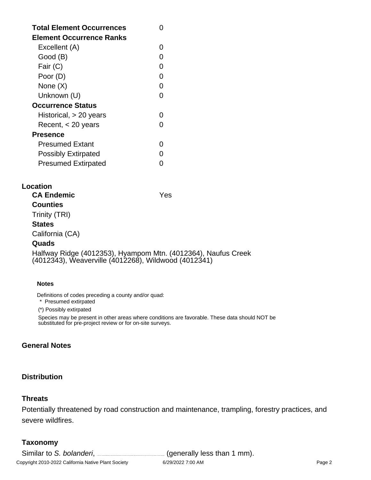| <b>Total Element Occurrences</b><br>Element Occurrence Ranks |  |
|--------------------------------------------------------------|--|
| Excellent (A)                                                |  |
| Good (B)                                                     |  |
| Fair (C)                                                     |  |
| Poor (D)                                                     |  |
| None $(X)$                                                   |  |
| Unknown (U)                                                  |  |
| <b>Occurrence Status</b>                                     |  |
| Historical, $> 20$ years                                     |  |
| Recent, $<$ 20 years                                         |  |
| Presence                                                     |  |
| <b>Presumed Extant</b>                                       |  |
| <b>Possibly Extirpated</b>                                   |  |
| <b>Presumed Extirpated</b>                                   |  |

#### **Location**

**CA Endemic** Yes **Counties** Trinity (TRI) **States** California (CA)

### **Quads**

Halfway Ridge (4012353), Hyampom Mtn. (4012364), Naufus Creek (4012343), Weaverville (4012268), Wildwood (4012341)

#### **Notes**

Definitions of codes preceding a county and/or quad:

\* Presumed extirpated

(\*) Possibly extirpated

Species may be present in other areas where conditions are favorable. These data should NOT be substituted for pre-project review or for on-site surveys.

### **General Notes**

### **Distribution**

#### **Threats**

Potentially threatened by road construction and maintenance, trampling, forestry practices, and severe wildfires.

## **Taxonomy**

Similar to S. bolanderi, \_\_\_\_\_\_\_\_\_\_\_\_\_\_\_\_\_\_\_(generally less than 1 mm).

Copyright 2010-2022 California Native Plant Society 6/29/2022 7:00 AM Page 2